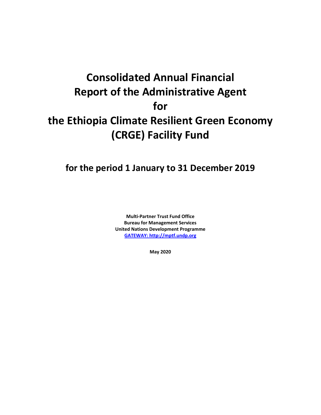# **Consolidated Annual Financial Report of the Administrative Agent for the Ethiopia Climate Resilient Green Economy (CRGE) Facility Fund**

## **for the period 1 January to 31 December 2019**

**Multi-Partner Trust Fund Office Bureau for Management Services United Nations Development Programme [GATEWAY: http://mptf.undp.org](http://mptf.undp.org/)**

**May 2020**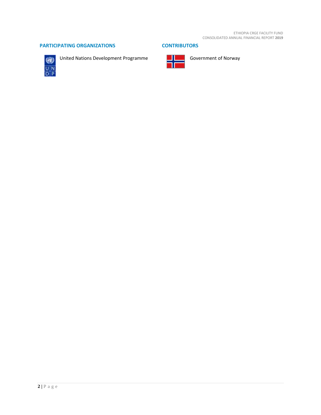#### **PARTICIPATING ORGANIZATIONS CONTRIBUTORS**



United Nations Development Programme Government of Norway

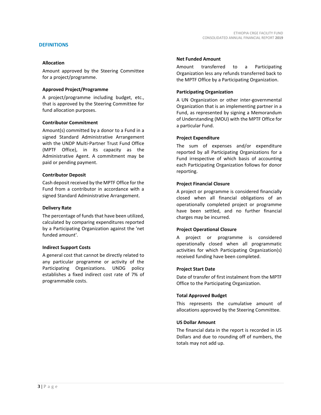#### **DEFINITIONS**

#### **Allocation**

Amount approved by the Steering Committee for a project/programme.

#### **Approved Project/Programme**

A project/programme including budget, etc., that is approved by the Steering Committee for fund allocation purposes.

#### **Contributor Commitment**

Amount(s) committed by a donor to a Fund in a signed Standard Administrative Arrangement with the UNDP Multi-Partner Trust Fund Office (MPTF Office), in its capacity as the Administrative Agent. A commitment may be paid or pending payment.

#### **Contributor Deposit**

Cash deposit received by the MPTF Office for the Fund from a contributor in accordance with a signed Standard Administrative Arrangement.

#### **Delivery Rate**

The percentage of funds that have been utilized, calculated by comparing expenditures reported by a Participating Organization against the 'net funded amount'.

#### **Indirect Support Costs**

A general cost that cannot be directly related to any particular programme or activity of the Participating Organizations. UNDG policy establishes a fixed indirect cost rate of 7% of programmable costs.

#### **Net Funded Amount**

Amount transferred to a Participating Organization less any refunds transferred back to the MPTF Office by a Participating Organization.

#### **Participating Organization**

A UN Organization or other inter-governmental Organization that is an implementing partner in a Fund, as represented by signing a Memorandum of Understanding (MOU) with the MPTF Office for a particular Fund.

#### **Project Expenditure**

The sum of expenses and/or expenditure reported by all Participating Organizations for a Fund irrespective of which basis of accounting each Participating Organization follows for donor reporting.

#### **Project Financial Closure**

A project or programme is considered financially closed when all financial obligations of an operationally completed project or programme have been settled, and no further financial charges may be incurred.

#### **Project Operational Closure**

A project or programme is considered operationally closed when all programmatic activities for which Participating Organization(s) received funding have been completed.

#### **Project Start Date**

Date of transfer of first instalment from the MPTF Office to the Participating Organization.

#### **Total Approved Budget**

This represents the cumulative amount of allocations approved by the Steering Committee.

#### **US Dollar Amount**

The financial data in the report is recorded in US Dollars and due to rounding off of numbers, the totals may not add up.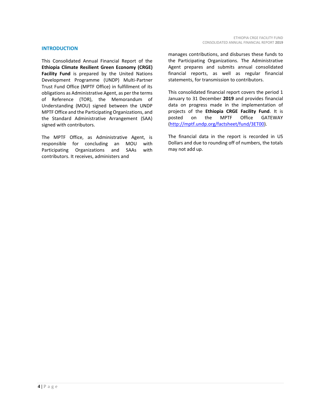#### **INTRODUCTION**

This Consolidated Annual Financial Report of the **Ethiopia Climate Resilient Green Economy (CRGE) Facility Fund** is prepared by the United Nations Development Programme (UNDP) Multi-Partner Trust Fund Office (MPTF Office) in fulfillment of its obligations as Administrative Agent, as per the terms of Reference (TOR), the Memorandum of Understanding (MOU) signed between the UNDP MPTF Office and the Participating Organizations, and the Standard Administrative Arrangement (SAA) signed with contributors.

The MPTF Office, as Administrative Agent, is responsible for concluding an MOU with Participating Organizations and SAAs with contributors. It receives, administers and

manages contributions, and disburses these funds to the Participating Organizations. The Administrative Agent prepares and submits annual consolidated financial reports, as well as regular financial statements, for transmission to contributors.

This consolidated financial report covers the period 1 January to 31 December **2019** and provides financial data on progress made in the implementation of projects of the **Ethiopia CRGE Facility Fund**. It is posted on the MPTF Office GATEWAY [\(http://mptf.undp.org/factsheet/fund/3ET00\)](http://mptf.undp.org/factsheet/fund/3ET00).

The financial data in the report is recorded in US Dollars and due to rounding off of numbers, the totals may not add up.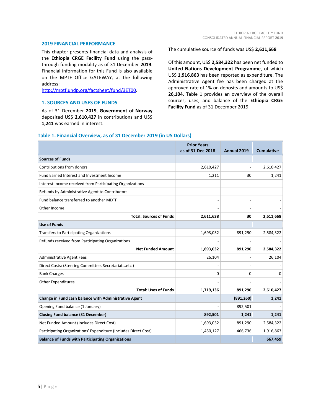#### **2019 FINANCIAL PERFORMANCE**

This chapter presents financial data and analysis of the **Ethiopia CRGE Facility Fund** using the passthrough funding modality as of 31 December **2019**. Financial information for this Fund is also available on the MPTF Office GATEWAY, at the following address:

[http://mptf.undp.org/factsheet/fund/3ET00.](http://mptf.undp.org/factsheet/fund/3ET00)

#### **1. SOURCES AND USES OF FUNDS**

As of 31 December **2019**, **Government of Norway** deposited US\$ **2,610,427** in contributions and US\$ **1,241** was earned in interest.

#### The cumulative source of funds was US\$ **2,611,668**

Of this amount, US\$ **2,584,322** has been net funded to **United Nations Development Programme**, of which US\$ **1,916,863** has been reported as expenditure. The Administrative Agent fee has been charged at the approved rate of 1% on deposits and amounts to US\$ **26,104**. Table 1 provides an overview of the overall sources, uses, and balance of the **Ethiopia CRGE Facility Fund** as of 31 December 2019.

#### **Table 1. Financial Overview, as of 31 December 2019 (in US Dollars)**

|                                                                 | <b>Prior Years</b><br>as of 31-Dec-2018 | Annual 2019 | <b>Cumulative</b> |
|-----------------------------------------------------------------|-----------------------------------------|-------------|-------------------|
| <b>Sources of Funds</b>                                         |                                         |             |                   |
| Contributions from donors                                       | 2,610,427                               |             | 2,610,427         |
| Fund Earned Interest and Investment Income                      | 1,211                                   | 30          | 1,241             |
| Interest Income received from Participating Organizations       |                                         |             |                   |
| Refunds by Administrative Agent to Contributors                 |                                         |             |                   |
| Fund balance transferred to another MDTF                        |                                         |             |                   |
| Other Income                                                    |                                         |             |                   |
| <b>Total: Sources of Funds</b>                                  | 2,611,638                               | 30          | 2,611,668         |
| <b>Use of Funds</b>                                             |                                         |             |                   |
| <b>Transfers to Participating Organizations</b>                 | 1,693,032                               | 891,290     | 2,584,322         |
| Refunds received from Participating Organizations               |                                         |             |                   |
| <b>Net Funded Amount</b>                                        | 1,693,032                               | 891,290     | 2,584,322         |
| <b>Administrative Agent Fees</b>                                | 26,104                                  |             | 26,104            |
| Direct Costs: (Steering Committee, Secretariatetc.)             |                                         |             |                   |
| <b>Bank Charges</b>                                             | $\Omega$                                | 0           | O                 |
| <b>Other Expenditures</b>                                       |                                         |             |                   |
| <b>Total: Uses of Funds</b>                                     | 1,719,136                               | 891,290     | 2,610,427         |
| Change in Fund cash balance with Administrative Agent           |                                         | (891, 260)  | 1,241             |
| Opening Fund balance (1 January)                                |                                         | 892,501     |                   |
| <b>Closing Fund balance (31 December)</b>                       | 892,501                                 | 1,241       | 1,241             |
| Net Funded Amount (Includes Direct Cost)                        | 1,693,032                               | 891,290     | 2,584,322         |
| Participating Organizations' Expenditure (Includes Direct Cost) | 1,450,127                               | 466,736     | 1,916,863         |
| <b>Balance of Funds with Participating Organizations</b>        |                                         |             | 667,459           |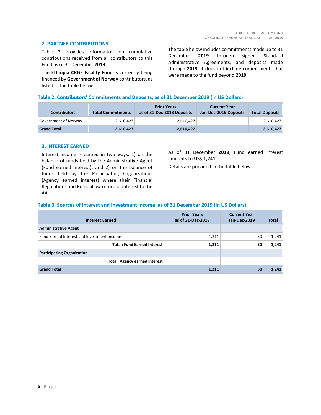#### **2. PARTNER CONTRIBUTIONS**

Table 2 provides information on cumulative contributions received from all contributors to this Fund as of 31 December **2019**.

The **Ethiopia CRGE Facility Fund** is currently being financed by **Government of Norway** contributors, as listed in the table below.

The table below includes commitments made up to 31 December **2019** through signed Standard Administrative Agreements, and deposits made through **2019**. It does not include commitments that were made to the fund beyond **2019**.

#### **Table 2. Contributors' Commitments and Deposits, as of 31 December 2019 (in US Dollars)**

| <b>Contributors</b>  | <b>Total Commitments</b> | <b>Prior Years</b><br>as of 31-Dec-2018 Deposits | <b>Current Year</b><br>Jan-Dec-2019 Deposits | <b>Total Deposits</b> |
|----------------------|--------------------------|--------------------------------------------------|----------------------------------------------|-----------------------|
| Government of Norway | 2,610,427                | 2,610,427                                        |                                              | 2,610,427             |
| <b>Grand Total</b>   | 2,610,427                | 2,610,427                                        |                                              | 2,610,427             |

#### **3. INTEREST EARNED**

Interest income is earned in two ways: 1) on the balance of funds held by the Administrative Agent (Fund earned interest), and 2) on the balance of funds held by the Participating Organizations (Agency earned interest) where their Financial Regulations and Rules allow return of interest to the AA.

As of 31 December **2019**, Fund earned interest amounts to US\$ **1,241**.

Details are provided in the table below.

#### **Table 3. Sources of Interest and Investment Income, as of 31 December 2019 (in US Dollars)**

| <b>Interest Earned</b>                     | <b>Prior Years</b><br>as of 31-Dec-2018 | <b>Current Year</b><br>Jan-Dec-2019 | Total |
|--------------------------------------------|-----------------------------------------|-------------------------------------|-------|
| <b>Administrative Agent</b>                |                                         |                                     |       |
| Fund Earned Interest and Investment Income | 1,211                                   | 30                                  | 1,241 |
| <b>Total: Fund Earned Interest</b>         | 1,211                                   | 30                                  | 1,241 |
| <b>Participating Organization</b>          |                                         |                                     |       |
| <b>Total: Agency earned interest</b>       |                                         |                                     |       |
| <b>Grand Total</b>                         | 1,211                                   | 30                                  | 1,241 |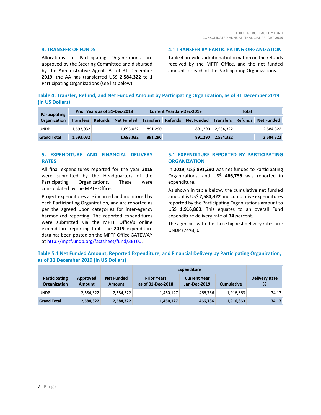#### **4. TRANSFER OF FUNDS**

Allocations to Participating Organizations are approved by the Steering Committee and disbursed by the Administrative Agent. As of 31 December **2019**, the AA has transferred US\$ **2,584,322** to **1** Participating Organizations (see list below).

**4.1 TRANSFER BY PARTICIPATING ORGANIZATION**

Table 4 provides additional information on the refunds received by the MPTF Office, and the net funded amount for each of the Participating Organizations.

|                 | Table 4. Transfer, Refund, and Net Funded Amount by Participating Organization, as of 31 December 2019 |  |  |
|-----------------|--------------------------------------------------------------------------------------------------------|--|--|
| (in US Dollars) |                                                                                                        |  |  |

| <b>Participating</b> | Prior Years as of 31-Dec-2018 |                | <b>Current Year Jan-Dec-2019</b> |                  |                | Total             |                  |                |                   |
|----------------------|-------------------------------|----------------|----------------------------------|------------------|----------------|-------------------|------------------|----------------|-------------------|
| <b>Organization</b>  | <b>Transfers</b>              | <b>Refunds</b> | <b>Net Funded</b>                | <b>Transfers</b> | <b>Refunds</b> | <b>Net Funded</b> | <b>Transfers</b> | <b>Refunds</b> | <b>Net Funded</b> |
| <b>UNDP</b>          | 1,693,032                     |                | 1.693.032                        | 891.290          |                | 891.290           | 2,584,322        |                | 2,584,322         |
| <b>Grand Total</b>   | 1,693,032                     |                | 1.693.032                        | 891.290          |                | 891.290           | 2,584,322        |                | 2,584,322         |

#### **5. EXPENDITURE AND FINANCIAL DELIVERY RATES**

All final expenditures reported for the year **2019** were submitted by the Headquarters of the Participating Organizations. These were consolidated by the MPTF Office.

Project expenditures are incurred and monitored by each Participating Organization, and are reported as per the agreed upon categories for inter-agency harmonized reporting. The reported expenditures were submitted via the MPTF Office's online expenditure reporting tool. The **2019** expenditure data has been posted on the MPTF Office GATEWAY at [http://mptf.undp.org/factsheet/fund/3ET00.](http://mptf.undp.org/factsheet/fund/3ET00)

#### **5.1 EXPENDITURE REPORTED BY PARTICIPATING ORGANIZATION**

In **2019**, US\$ **891,290** was net funded to Participating Organizations, and US\$ **466,736** was reported in expenditure.

As shown in table below, the cumulative net funded amount is US\$ **2,584,322** and cumulative expenditures reported by the Participating Organizations amount to US\$ **1,916,863**. This equates to an overall Fund expenditure delivery rate of **74** percent.

The agencies with the three highest delivery rates are: UNDP (74%), 0

#### **Table 5.1 Net Funded Amount, Reported Expenditure, and Financial Delivery by Participating Organization, as of 31 December 2019 (in US Dollars)**

|                                      |                           |                             | <b>Expenditure</b>                      |                                     |                   |                           |
|--------------------------------------|---------------------------|-----------------------------|-----------------------------------------|-------------------------------------|-------------------|---------------------------|
| <b>Participating</b><br>Organization | Approved<br><b>Amount</b> | <b>Net Funded</b><br>Amount | <b>Prior Years</b><br>as of 31-Dec-2018 | <b>Current Year</b><br>Jan-Dec-2019 | <b>Cumulative</b> | <b>Delivery Rate</b><br>% |
| <b>UNDP</b>                          | 2,584,322                 | 2,584,322                   | 1,450,127                               | 466,736                             | 1,916,863         | 74.17                     |
| <b>Grand Total</b>                   | 2,584,322                 | 2,584,322                   | 1,450,127                               | 466,736                             | 1,916,863         | 74.17                     |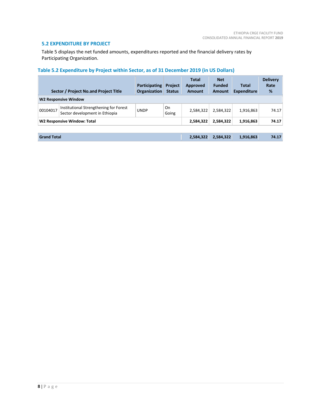#### **5.2 EXPENDITURE BY PROJECT**

Table 5 displays the net funded amounts, expenditures reported and the financial delivery rates by Participating Organization.

### **Table 5.2 Expenditure by Project within Sector, as of 31 December 2019 (in US Dollars)**

| Sector / Project No.and Project Title |                                                                          | <b>Participating</b><br><b>Organization</b> | <b>Project</b><br><b>Status</b> | Total<br>Approved<br>Amount | <b>Net</b><br><b>Funded</b><br><b>Amount</b> | <b>Total</b><br>Expenditure | <b>Delivery</b><br>Rate<br>% |
|---------------------------------------|--------------------------------------------------------------------------|---------------------------------------------|---------------------------------|-----------------------------|----------------------------------------------|-----------------------------|------------------------------|
|                                       | <b>W2 Responsive Window</b>                                              |                                             |                                 |                             |                                              |                             |                              |
| 00104017                              | Institutional Strengthening for Forest<br>Sector development in Ethiopia | <b>UNDP</b>                                 | On<br>Going                     | 2,584,322                   | 2,584,322                                    | 1,916,863                   | 74.17                        |
| W2 Responsive Window: Total           |                                                                          |                                             |                                 | 2,584,322                   | 2,584,322                                    | 1,916,863                   | 74.17                        |
|                                       |                                                                          |                                             |                                 |                             |                                              |                             |                              |
| <b>Grand Total</b>                    |                                                                          | 2,584,322                                   | 2,584,322                       | 1,916,863                   | 74.17                                        |                             |                              |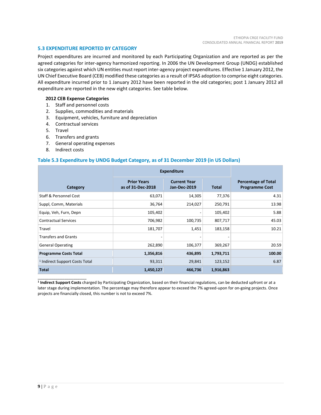#### **5.3 EXPENDITURE REPORTED BY CATEGORY**

Project expenditures are incurred and monitored by each Participating Organization and are reported as per the agreed categories for inter-agency harmonized reporting. In 2006 the UN Development Group (UNDG) established six categories against which UN entities must report inter-agency project expenditures. Effective 1 January 2012, the UN Chief Executive Board (CEB) modified these categories as a result of IPSAS adoption to comprise eight categories. All expenditure incurred prior to 1 January 2012 have been reported in the old categories; post 1 January 2012 all expenditure are reported in the new eight categories. See table below.

#### **2012 CEB Expense Categories**

- 1. Staff and personnel costs
- 2. Supplies, commodities and materials
- 3. Equipment, vehicles, furniture and depreciation
- 4. Contractual services
- 5. Travel
- 6. Transfers and grants
- 7. General operating expenses
- 8. Indirect costs

\_\_\_\_\_\_\_\_\_\_\_\_\_\_\_\_\_\_\_\_\_\_

#### **Table 5.3 Expenditure by UNDG Budget Category, as of 31 December 2019 (in US Dollars)**

|                                           | <b>Expenditure</b>                      |                                            |              |                                                     |
|-------------------------------------------|-----------------------------------------|--------------------------------------------|--------------|-----------------------------------------------------|
| Category                                  | <b>Prior Years</b><br>as of 31-Dec-2018 | <b>Current Year</b><br><b>Jan-Dec-2019</b> | <b>Total</b> | <b>Percentage of Total</b><br><b>Programme Cost</b> |
| Staff & Personnel Cost                    | 63,071                                  | 14,305                                     | 77,376       | 4.31                                                |
| Suppl, Comm, Materials                    | 36,764                                  | 214,027                                    | 250,791      | 13.98                                               |
| Equip, Veh, Furn, Depn                    | 105,402                                 |                                            | 105,402      | 5.88                                                |
| <b>Contractual Services</b>               | 706,982                                 | 100,735                                    | 807,717      | 45.03                                               |
| Travel                                    | 181,707                                 | 1,451                                      | 183,158      | 10.21                                               |
| <b>Transfers and Grants</b>               |                                         |                                            |              |                                                     |
| <b>General Operating</b>                  | 262,890                                 | 106,377                                    | 369,267      | 20.59                                               |
| <b>Programme Costs Total</b>              | 1,356,816                               | 436,895                                    | 1,793,711    | 100.00                                              |
| <sup>1</sup> Indirect Support Costs Total | 93,311                                  | 29,841                                     | 123,152      | 6.87                                                |
| <b>Total</b>                              | 1,450,127                               | 466,736                                    | 1,916,863    |                                                     |

**1 Indirect Support Costs** charged by Participating Organization, based on their financial regulations, can be deducted upfront or at a later stage during implementation. The percentage may therefore appear to exceed the 7% agreed-upon for on-going projects. Once projects are financially closed, this number is not to exceed 7%.